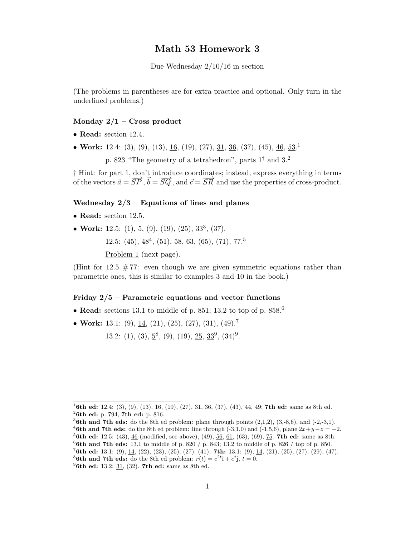## Math 53 Homework 3

Due Wednesday 2/10/16 in section

(The problems in parentheses are for extra practice and optional. Only turn in the underlined problems.)

## Monday  $2/1$  – Cross product

- Read: section 12.4.
- Work: 12.4: (3), (9), (13), <u>16</u>, (19), (27), <u>31, 36</u>, (37), (45), <u>46, 53</u>.<sup>1</sup>

p. 823 "The geometry of a tetrahedron", parts  $1^{\dagger}$  and  $3.^2$ 

† Hint: for part 1, don't introduce coordinates; instead, express everything in terms of the vectors  $\vec{a} = \vec{SP}$ ,  $\vec{b} = \vec{SQ}$ , and  $\vec{c} = \vec{SR}$  and use the properties of cross-product.

## Wednesday  $2/3$  – Equations of lines and planes

- Read: section 12.5.
- Work: 12.5: (1),  $\underline{5}$ , (9), (19), (25),  $\underline{33}^3$ , (37).

12.5:  $(45)$ ,  $48^4$ ,  $(51)$ ,  $58$ ,  $63$ ,  $(65)$ ,  $(71)$ ,  $77$ <sup>5</sup>

Problem 1 (next page).

(Hint for  $12.5 \# 77$ : even though we are given symmetric equations rather than parametric ones, this is similar to examples 3 and 10 in the book.)

## Friday  $2/5$  – Parametric equations and vector functions

- Read: sections 13.1 to middle of p. 851; 13.2 to top of p. 858.<sup>6</sup>
- Work: 13.1: (9), 14, (21), (25), (27), (31), (49).<sup>7</sup>

13.2: (1), (3),  $\underline{5}^8$ , (9), (19),  $\underline{25}$ ,  $\underline{33}^9$ , (34)<sup>9</sup>.

<sup>&</sup>lt;sup>1</sup>6th ed: 12.4: (3), (9), (13), 16, (19), (27), 31, 36, (37), (43), 44, 49; 7th ed: same as 8th ed.  $26th$  ed: p. 794, 7th ed: p. 816.

<sup>&</sup>lt;sup>3</sup>6th and 7th eds: do the 8th ed problem: plane through points  $(2,1,2)$ ,  $(3,-8,6)$ , and  $(-2,-3,1)$ . <sup>4</sup>6th and 7th eds: do the 8th ed problem: line through (-3,1,0) and (-1,5,6), plane  $2x+y-z=-2$ .

 ${}^{5}$ 6th ed: 12.5: (43), 46 (modified, see above), (49), 56, 61, (63), (69), 75. 7th ed: same as 8th.  ${}^{6}$ 6th and 7th eds: 13.1 to middle of p. 820 / p. 843; 13.2 to middle of p. 826 / top of p. 850.

<sup>&</sup>lt;sup>7</sup>6th ed: 13.1: (9), <u>14</u>, (22), (23), (25), (27), (41). 7th: 13.1: (9), <u>14</u>, (21), (25), (27), (29), (47).

<sup>&</sup>lt;sup>8</sup>**6th and 7th eds:** do the 8th ed problem:  $\vec{r}(t) = e^{2t}\hat{i} + e^{t}\hat{j}$ ,  $t = 0$ .

 $^{9}$ 6th ed: 13.2: 31, (32). 7th ed: same as 8th ed.